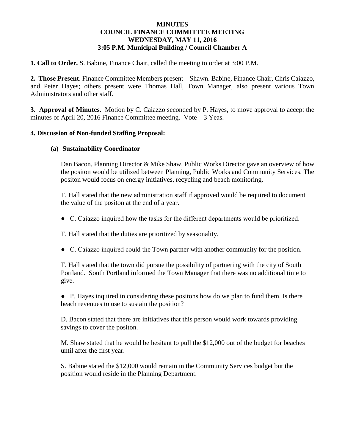# **MINUTES COUNCIL FINANCE COMMITTEE MEETING WEDNESDAY, MAY 11, 2016 3:05 P.M. Municipal Building / Council Chamber A**

**1. Call to Order.** S. Babine, Finance Chair, called the meeting to order at 3:00 P.M.

**2. Those Present**. Finance Committee Members present – Shawn. Babine, Finance Chair, Chris Caiazzo, and Peter Hayes; others present were Thomas Hall, Town Manager, also present various Town Administrators and other staff.

**3. Approval of Minutes**. Motion by C. Caiazzo seconded by P. Hayes, to move approval to accept the minutes of April 20, 2016 Finance Committee meeting. Vote – 3 Yeas.

# **4. Discussion of Non-funded Staffing Proposal:**

# **(a) Sustainability Coordinator**

Dan Bacon, Planning Director & Mike Shaw, Public Works Director gave an overview of how the positon would be utilized between Planning, Public Works and Community Services. The positon would focus on energy initiatives, recycling and beach monitoring.

T. Hall stated that the new administration staff if approved would be required to document the value of the positon at the end of a year.

● C. Caiazzo inquired how the tasks for the different departments would be prioritized.

T. Hall stated that the duties are prioritized by seasonality.

● C. Caiazzo inquired could the Town partner with another community for the position.

T. Hall stated that the town did pursue the possibility of partnering with the city of South Portland. South Portland informed the Town Manager that there was no additional time to give.

● P. Hayes inquired in considering these positons how do we plan to fund them. Is there beach revenues to use to sustain the position?

D. Bacon stated that there are initiatives that this person would work towards providing savings to cover the positon.

M. Shaw stated that he would be hesitant to pull the \$12,000 out of the budget for beaches until after the first year.

S. Babine stated the \$12,000 would remain in the Community Services budget but the position would reside in the Planning Department.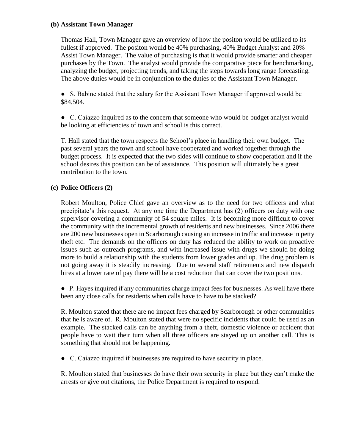# **(b) Assistant Town Manager**

Thomas Hall, Town Manager gave an overview of how the positon would be utilized to its fullest if approved. The positon would be 40% purchasing, 40% Budget Analyst and 20% Assist Town Manager. The value of purchasing is that it would provide smarter and cheaper purchases by the Town. The analyst would provide the comparative piece for benchmarking, analyzing the budget, projecting trends, and taking the steps towards long range forecasting. The above duties would be in conjunction to the duties of the Assistant Town Manager.

● S. Babine stated that the salary for the Assistant Town Manager if approved would be \$84,504.

● C. Caiazzo inquired as to the concern that someone who would be budget analyst would be looking at efficiencies of town and school is this correct.

T. Hall stated that the town respects the School's place in handling their own budget. The past several years the town and school have cooperated and worked together through the budget process. It is expected that the two sides will continue to show cooperation and if the school desires this position can be of assistance. This position will ultimately be a great contribution to the town.

# **(c) Police Officers (2)**

Robert Moulton, Police Chief gave an overview as to the need for two officers and what precipitate's this request. At any one time the Department has (2) officers on duty with one supervisor covering a community of 54 square miles. It is becoming more difficult to cover the community with the incremental growth of residents and new businesses. Since 2006 there are 200 new businesses open in Scarborough causing an increase in traffic and increase in petty theft etc. The demands on the officers on duty has reduced the ability to work on proactive issues such as outreach programs, and with increased issue with drugs we should be doing more to build a relationship with the students from lower grades and up. The drug problem is not going away it is steadily increasing. Due to several staff retirements and new dispatch hires at a lower rate of pay there will be a cost reduction that can cover the two positions.

● P. Hayes inquired if any communities charge impact fees for businesses. As well have there been any close calls for residents when calls have to have to be stacked?

R. Moulton stated that there are no impact fees charged by Scarborough or other communities that he is aware of. R. Moulton stated that were no specific incidents that could be used as an example. The stacked calls can be anything from a theft, domestic violence or accident that people have to wait their turn when all three officers are stayed up on another call. This is something that should not be happening.

● C. Caiazzo inquired if businesses are required to have security in place.

R. Moulton stated that businesses do have their own security in place but they can't make the arrests or give out citations, the Police Department is required to respond.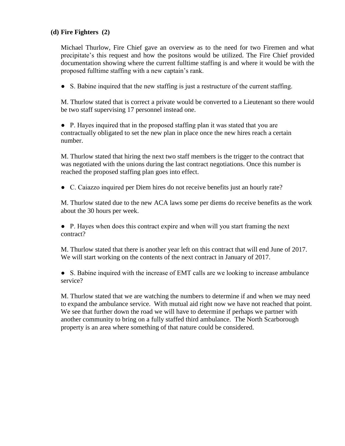# **(d) Fire Fighters (2)**

Michael Thurlow, Fire Chief gave an overview as to the need for two Firemen and what precipitate's this request and how the positons would be utilized. The Fire Chief provided documentation showing where the current fulltime staffing is and where it would be with the proposed fulltime staffing with a new captain's rank.

● S. Babine inquired that the new staffing is just a restructure of the current staffing.

M. Thurlow stated that is correct a private would be converted to a Lieutenant so there would be two staff supervising 17 personnel instead one.

● P. Hayes inquired that in the proposed staffing plan it was stated that you are contractually obligated to set the new plan in place once the new hires reach a certain number.

M. Thurlow stated that hiring the next two staff members is the trigger to the contract that was negotiated with the unions during the last contract negotiations. Once this number is reached the proposed staffing plan goes into effect.

● C. Caiazzo inquired per Diem hires do not receive benefits just an hourly rate?

M. Thurlow stated due to the new ACA laws some per diems do receive benefits as the work about the 30 hours per week.

● P. Hayes when does this contract expire and when will you start framing the next contract?

M. Thurlow stated that there is another year left on this contract that will end June of 2017. We will start working on the contents of the next contract in January of 2017.

● S. Babine inquired with the increase of EMT calls are we looking to increase ambulance service?

M. Thurlow stated that we are watching the numbers to determine if and when we may need to expand the ambulance service. With mutual aid right now we have not reached that point. We see that further down the road we will have to determine if perhaps we partner with another community to bring on a fully staffed third ambulance. The North Scarborough property is an area where something of that nature could be considered.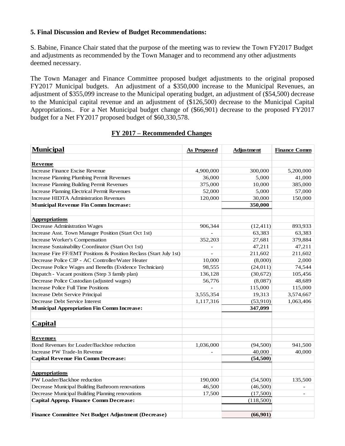#### **5. Final Discussion and Review of Budget Recommendations:**

S. Babine, Finance Chair stated that the purpose of the meeting was to review the Town FY2017 Budget and adjustments as recommended by the Town Manager and to recommend any other adjustments deemed necessary.

The Town Manager and Finance Committee proposed budget adjustments to the original proposed FY2017 Municipal budgets. An adjustment of a \$350,000 increase to the Municipal Revenues, an adjustment of \$355,099 increase to the Municipal operating budget, an adjustment of (\$54,500) decrease to the Municipal capital revenue and an adjustment of (\$126,500) decrease to the Municipal Capital Appropriations.. For a Net Municipal budget change of (\$66,901) decrease to the proposed FY2017 budget for a Net FY2017 proposed budget of \$60,330,578.

#### **FY 2017 – Recommended Changes**

| <b>Municipal</b>                                                   | <b>As Proposed</b> | Adjustment | <b>Finance Comm</b> |
|--------------------------------------------------------------------|--------------------|------------|---------------------|
| <b>Revenue</b>                                                     |                    |            |                     |
| <b>Increase Finance Excise Revenue</b>                             | 4,900,000          | 300,000    | 5,200,000           |
| <b>Increase Planning Plumbing Permit Revenues</b>                  | 36,000             | 5,000      | 41,000              |
| <b>Increase Planning Building Permit Revenues</b>                  | 375,000            | 10,000     | 385,000             |
| <b>Increase Planning Electrical Permit Revenues</b>                | 52,000             | 5,000      | 57,000              |
| <b>Increase HIDTA Administration Revenues</b>                      | 120,000            | 30,000     | 150,000             |
| <b>Municipal Revenue Fin Comm Increase:</b>                        |                    | 350,000    |                     |
|                                                                    |                    |            |                     |
| <b>Appropriations</b>                                              |                    |            |                     |
| <b>Decrease Administration Wages</b>                               | 906,344            | (12, 411)  | 893,933             |
| Increase Asst. Town Manager Position (Start Oct 1st)               |                    | 63,383     | 63,383              |
| Increase Worker's Compensation                                     | 352,203            | 27,681     | 379,884             |
| Increase Sustainability Coordinator (Start Oct 1st)                |                    | 47,211     | 47,211              |
| Increase Fire FF/EMT Positions & Position Reclass (Start July 1st) |                    | 211,602    | 211,602             |
| Decrease Police CIP - AC Controller/Water Heater                   | 10,000             | (8,000)    | 2,000               |
| Decrease Police Wages and Benefits (Evidence Technician)           | 98,555             | (24, 011)  | 74,544              |
| Dispatch - Vacant positions (Step 3 family plan)                   | 136,128            | (30,672)   | 105,456             |
| Decrease Police Custodian (adjusted wages)                         | 56,776             | (8,087)    | 48,689              |
| <b>Increase Police Full Time Positions</b>                         |                    | 115,000    | 115,000             |
| Increase Debt Service Principal                                    | 3,555,354          | 19,313     | 3,574,667           |
| Decrease Debt Service Interest                                     | 1,117,316          | (53,910)   | 1,063,406           |
| <b>Municipal Appropriation Fin Comm Increase:</b>                  |                    | 347,099    |                     |
|                                                                    |                    |            |                     |
| <b>Capital</b>                                                     |                    |            |                     |
| <b>Revenues</b>                                                    |                    |            |                     |
| Bond Revenues for Loader/Backhoe reduction                         | 1,036,000          | (94, 500)  | 941,500             |
| Increase PW Trade-In Revenue                                       |                    | 40,000     | 40,000              |
| <b>Capital Revenue Fin Comm Decrease:</b>                          |                    | (54, 500)  |                     |
| <b>Appropriations</b>                                              |                    |            |                     |
| PW Loader/Backhoe reduction                                        | 190,000            | (54,500)   | 135,500             |
| Decrease Municipal Building Bathroom renovations                   | 46,500             | (46,500)   |                     |
| Decrease Municipal Building Planning renovations                   | 17,500             | (17,500)   | $\overline{a}$      |
| <b>Capital Approp. Finance Comm Decrease:</b>                      |                    | (118,500)  |                     |
|                                                                    |                    |            |                     |
| Finance Committee Net Budget Adjustment (Decrease)                 |                    | (66,901)   |                     |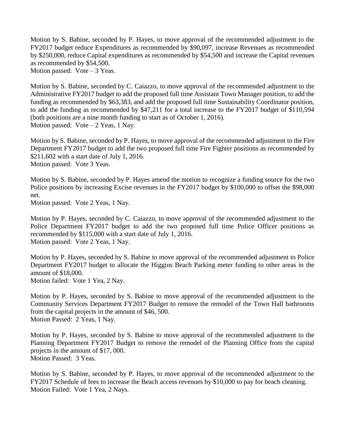Motion by S. Babine, seconded by P. Hayes, to move approval of the recommended adjustment to the FY2017 budget reduce Expenditures as recommended by \$90,097, increase Revenues as recommended by \$250,000, reduce Capital expenditures as recommended by \$54,500 and increase the Capital revenues as recommended by \$54,500.

Motion passed: Vote – 3 Yeas.

Motion by S. Babine, seconded by C. Caiazzo, to move approval of the recommended adjustment to the Administrative FY2017 budget to add the proposed full time Assistant Town Manager position, to add the funding as recommended by \$63,383, and add the proposed full time Sustainability Coordinator position, to add the funding as recommended by \$47,211 for a total increase to the FY2017 budget of \$110,594 (both positions are a nine month funding to start as of October 1, 2016). Motion passed:  $Vote - 2 Yeas, 1 Navy.$ 

Motion by S. Babine, seconded by P. Hayes, to move approval of the recommended adjustment to the Fire Department FY2017 budget to add the two proposed full time Fire Fighter positions as recommended by \$211,602 with a start date of July 1, 2016. Motion passed: Vote 3 Yeas.

Motion by S. Babine, seconded by P. Hayes amend the motion to recognize a funding source for the two Police positions by increasing Excise revenues in the FY2017 budget by \$100,000 to offset the \$98,000 net.

Motion passed: Vote 2 Yeas, 1 Nay.

Motion by P. Hayes, seconded by C. Caiazzo, to move approval of the recommended adjustment to the Police Department FY2017 budget to add the two proposed full time Police Officer positions as recommended by \$115,000 with a start date of July 1, 2016. Motion passed: Vote 2 Yeas, 1 Nay.

Motion by P. Hayes, seconded by S. Babine to move approval of the recommended adjustment to Police Department FY2017 budget to allocate the Higgins Beach Parking meter funding to other areas in the amount of \$18,000.

Motion failed: Vote 1 Yea, 2 Nay.

Motion by P. Hayes, seconded by S. Babine to move approval of the recommended adjustment to the Community Services Department FY2017 Budget to remove the remodel of the Town Hall bathrooms from the capital projects in the amount of \$46, 500. Motion Passed: 2 Yeas, 1 Nay.

Motion by P. Hayes, seconded by S. Babine to move approval of the recommended adjustment to the Planning Department FY2017 Budget to remove the remodel of the Planning Office from the capital projects in the amount of \$17, 000. Motion Passed: 3 Yeas.

Motion by S. Babine, seconded by P. Hayes, to move approval of the recommended adjustment to the FY2017 Schedule of fees to increase the Beach access revenues by \$10,000 to pay for beach cleaning. Motion Failed: Vote 1 Yea, 2 Nays.